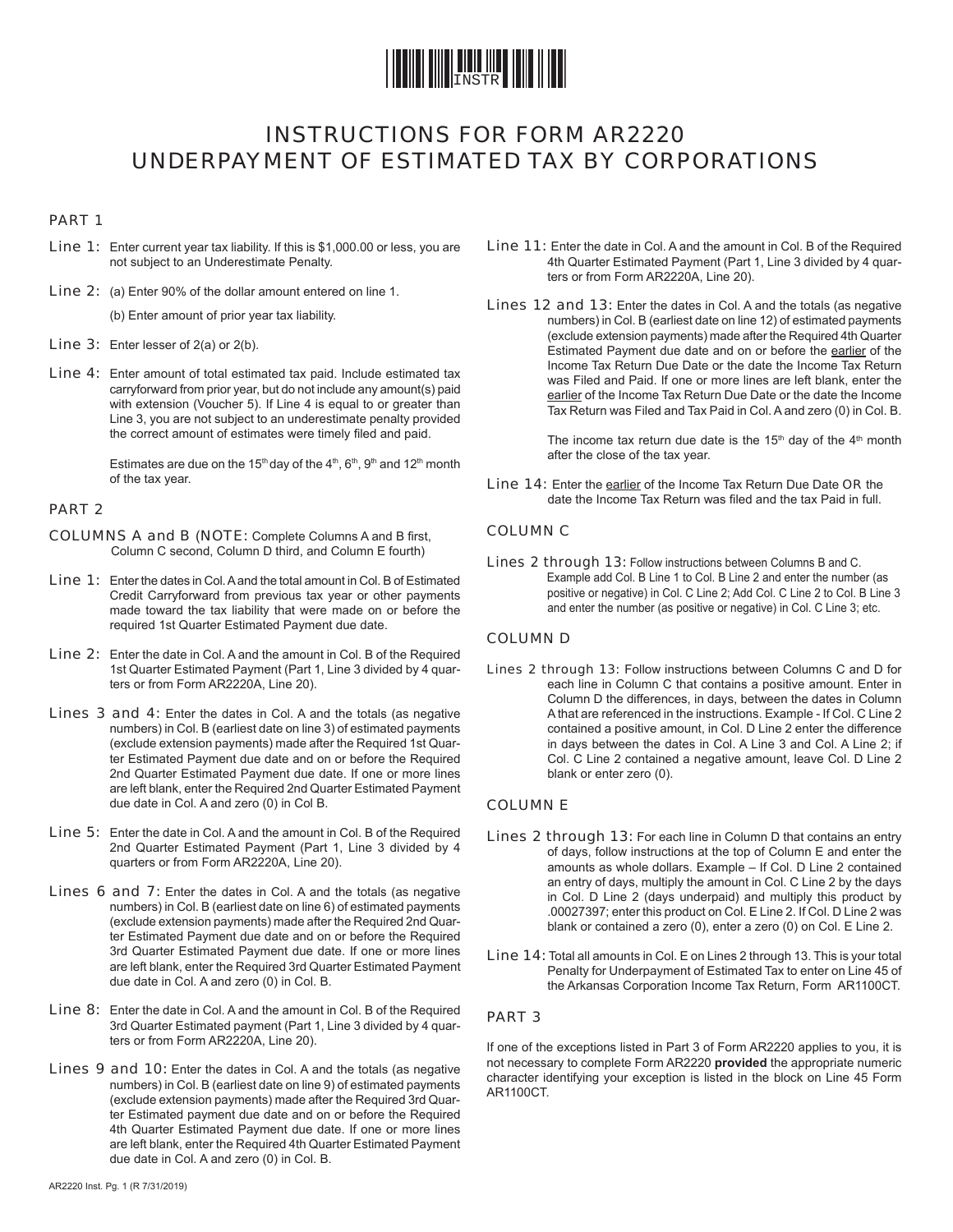

## INSTRUCTIONS FOR FORM AR2220 UNDERPAYMENT OF ESTIMATED TAX BY CORPORATIONS

### PART 1

- Line 1: Enter current year tax liability. If this is \$1,000.00 or less, you are not subject to an Underestimate Penalty.
- Line 2: (a) Enter 90% of the dollar amount entered on line 1.

(b) Enter amount of prior year tax liability.

- Line 3: Enter lesser of 2(a) or 2(b).
- Line 4: Enter amount of total estimated tax paid. Include estimated tax carryforward from prior year, but do not include any amount(s) paid with extension (Voucher 5). If Line 4 is equal to or greater than Line 3, you are not subject to an underestimate penalty provided the correct amount of estimates were timely filed and paid.

Estimates are due on the 15<sup>th</sup> day of the  $4<sup>th</sup>$ ,  $6<sup>th</sup>$ ,  $9<sup>th</sup>$  and 12<sup>th</sup> month of the tax year.

### PART 2

- COLUMNS A and B (NOTE: Complete Columns A and B first, Column C second, Column D third, and Column E fourth)
- Line 1: Enter the dates in Col. A and the total amount in Col. B of Estimated Credit Carryforward from previous tax year or other payments made toward the tax liability that were made on or before the required 1st Quarter Estimated Payment due date.
- Line 2: Enter the date in Col. A and the amount in Col. B of the Required 1st Quarter Estimated Payment (Part 1, Line 3 divided by 4 quarters or from Form AR2220A, Line 20).
- Lines 3 and 4: Enter the dates in Col. A and the totals (as negative numbers) in Col. B (earliest date on line 3) of estimated payments (exclude extension payments) made after the Required 1st Quarter Estimated Payment due date and on or before the Required 2nd Quarter Estimated Payment due date. If one or more lines are left blank, enter the Required 2nd Quarter Estimated Payment due date in Col. A and zero (0) in Col B.
- Line 5: Enter the date in Col. A and the amount in Col. B of the Required 2nd Quarter Estimated Payment (Part 1, Line 3 divided by 4 quarters or from Form AR2220A, Line 20).
- Lines 6 and 7: Enter the dates in Col. A and the totals (as negative numbers) in Col. B (earliest date on line 6) of estimated payments (exclude extension payments) made after the Required 2nd Quarter Estimated Payment due date and on or before the Required 3rd Quarter Estimated Payment due date. If one or more lines are left blank, enter the Required 3rd Quarter Estimated Payment due date in Col. A and zero (0) in Col. B.
- Line 8: Enter the date in Col. A and the amount in Col. B of the Required 3rd Quarter Estimated payment (Part 1, Line 3 divided by 4 quarters or from Form AR2220A, Line 20).
- Lines 9 and 10: Enter the dates in Col. A and the totals (as negative numbers) in Col. B (earliest date on line 9) of estimated payments (exclude extension payments) made after the Required 3rd Quarter Estimated payment due date and on or before the Required 4th Quarter Estimated Payment due date. If one or more lines are left blank, enter the Required 4th Quarter Estimated Payment due date in Col. A and zero (0) in Col. B.
- Line 11: Enter the date in Col. A and the amount in Col. B of the Required 4th Quarter Estimated Payment (Part 1, Line 3 divided by 4 quarters or from Form AR2220A, Line 20).
- Lines 12 and 13: Enter the dates in Col. A and the totals (as negative numbers) in Col. B (earliest date on line 12) of estimated payments (exclude extension payments) made after the Required 4th Quarter Estimated Payment due date and on or before the earlier of the Income Tax Return Due Date or the date the Income Tax Return was Filed and Paid. If one or more lines are left blank, enter the earlier of the Income Tax Return Due Date or the date the Income Tax Return was Filed and Tax Paid in Col. A and zero (0) in Col. B.

The income tax return due date is the  $15<sup>th</sup>$  day of the  $4<sup>th</sup>$  month after the close of the tax year.

Line 14: Enter the earlier of the Income Tax Return Due Date OR the date the Income Tax Return was filed and the tax Paid in full.

### COLUMN C

Lines 2 through 13: Follow instructions between Columns B and C. Example add Col. B Line 1 to Col. B Line 2 and enter the number (as positive or negative) in Col. C Line 2; Add Col. C Line 2 to Col. B Line 3 and enter the number (as positive or negative) in Col. C Line 3; etc.

### COLUMN D

Lines 2 through 13: Follow instructions between Columns C and D for each line in Column C that contains a positive amount. Enter in Column D the differences, in days, between the dates in Column A that are referenced in the instructions. Example - If Col. C Line 2 contained a positive amount, in Col. D Line 2 enter the difference in days between the dates in Col. A Line 3 and Col. A Line 2; if Col. C Line 2 contained a negative amount, leave Col. D Line 2 blank or enter zero (0).

### COLUMN E

- Lines 2 through 13: For each line in Column D that contains an entry of days, follow instructions at the top of Column E and enter the amounts as whole dollars. Example – If Col. D Line 2 contained an entry of days, multiply the amount in Col. C Line 2 by the days in Col. D Line 2 (days underpaid) and multiply this product by .00027397; enter this product on Col. E Line 2. If Col. D Line 2 was blank or contained a zero (0), enter a zero (0) on Col. E Line 2.
- Line 14: Total all amounts in Col. E on Lines 2 through 13. This is your total Penalty for Underpayment of Estimated Tax to enter on Line 45 of the Arkansas Corporation Income Tax Return, Form AR1100CT.

### PART 3

If one of the exceptions listed in Part 3 of Form AR2220 applies to you, it is not necessary to complete Form AR2220 **provided** the appropriate numeric character identifying your exception is listed in the block on Line 45 Form AR1100CT.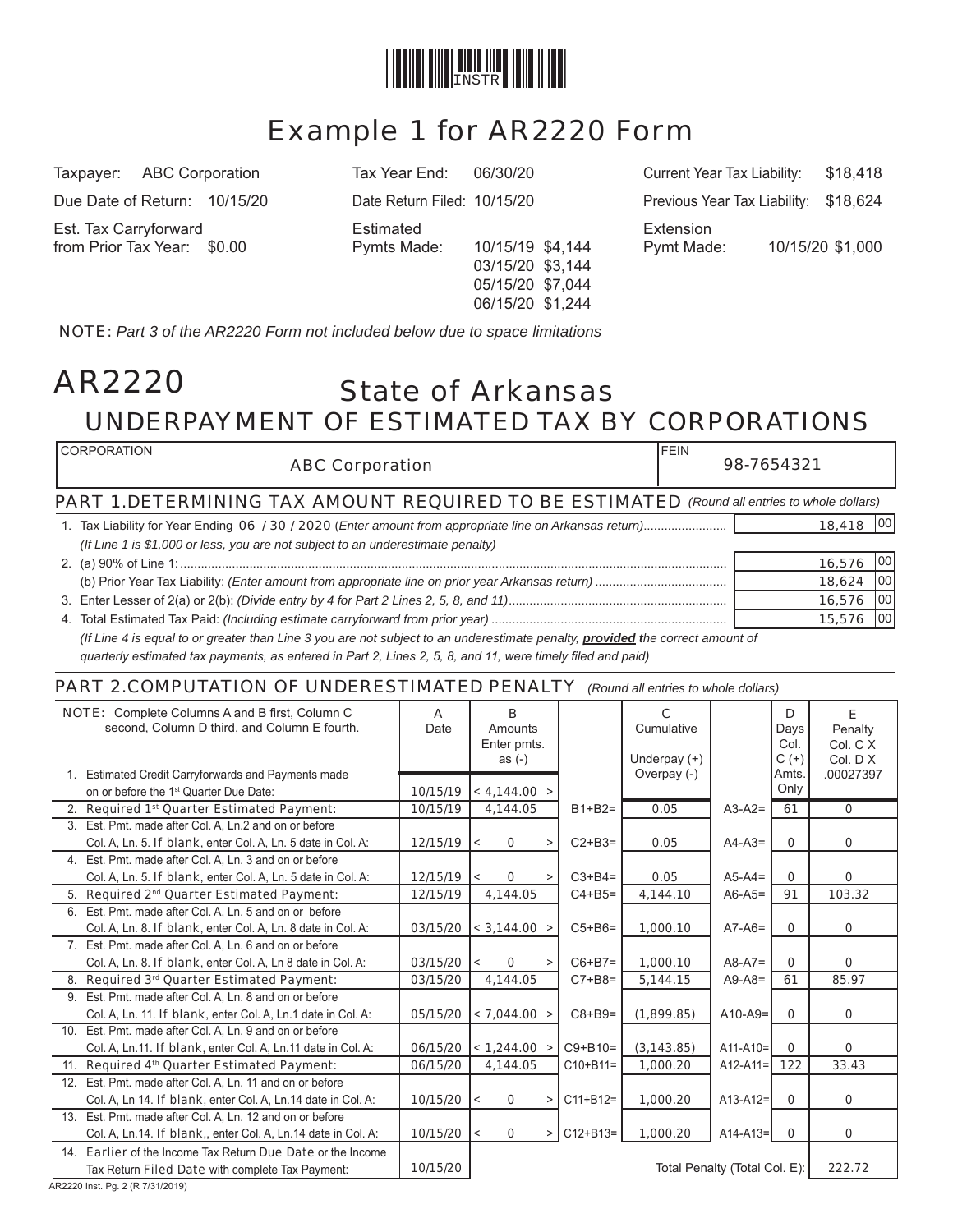

# Example 1 for AR2220 Form

Est. Tax Carryforward Estimated Extension

03/15/20 \$3,144 05/15/20 \$7,044 06/15/20 \$1,244

Taxpayer: ABC Corporation Tax Year End: 06/30/20 Current Year Tax Liability: \$18,418 Due Date of Return: 10/15/20 Date Return Filed: 10/15/20 Previous Year Tax Liability: \$18,624 from Prior Tax Year: \$0.00 Pymts Made: 10/15/19 \$4,144 Pymt Made: 10/15/20 \$1,000

NOTE: *Part 3 of the AR2220 Form not included below due to space limitations*

## State of Arkansas UNDERPAYMENT OF ESTIMATED TAX BY CORPORATIONS AR2220

| <b>I CORPORATION</b><br><b>ABC Corporation</b>                                                                                        | <b>FEIN</b> | 98-7654321 |            |  |  |  |  |  |
|---------------------------------------------------------------------------------------------------------------------------------------|-------------|------------|------------|--|--|--|--|--|
| <b>PART 1.DETERMINING TAX AMOUNT REQUIRED TO BE ESTIMATED</b> (Round all entries to whole dollars)                                    |             |            |            |  |  |  |  |  |
|                                                                                                                                       |             | 18,418     | <b>100</b> |  |  |  |  |  |
| (If Line 1 is \$1,000 or less, you are not subject to an underestimate penalty)                                                       |             |            |            |  |  |  |  |  |
|                                                                                                                                       |             | 16,576     | 100'       |  |  |  |  |  |
|                                                                                                                                       |             | 18,624     | 100        |  |  |  |  |  |
|                                                                                                                                       |             | 16,576     | 100        |  |  |  |  |  |
|                                                                                                                                       |             | 15,576     | 100        |  |  |  |  |  |
| (If I ing A is equal to or grapter than Line 3 you are not subject to an underestimate penalty <b>provided t</b> he correct amount of |             |            |            |  |  |  |  |  |

 *(If Line 4 is equal to or greater than Line 3 you are not subject to an underestimate penalty, provided the correct amount of quarterly estimated tax payments, as entered in Part 2, Lines 2, 5, 8, and 11, were timely filed and paid)* 

### PART 2.COMPUTATION OF UNDERESTIMATED PENALTY *(Round all entries to whole dollars)*

| NOTE: Complete Columns A and B first, Column C<br>second, Column D third, and Column E fourth. |                                                               | A<br>Date     | B<br>Amounts             |               | C<br>Cumulative |                               | D            | E.                  |
|------------------------------------------------------------------------------------------------|---------------------------------------------------------------|---------------|--------------------------|---------------|-----------------|-------------------------------|--------------|---------------------|
|                                                                                                |                                                               |               | Enter pmts.              |               |                 |                               | Days<br>Col. | Penalty<br>Col. C X |
|                                                                                                |                                                               |               | as $(-)$                 |               | Underpay $(+)$  |                               | $C (+)$      | Col. $D$ $X$        |
|                                                                                                | 1. Estimated Credit Carryforwards and Payments made           |               |                          |               | Overpay (-)     |                               | Amts.        | .00027397           |
|                                                                                                | on or before the 1 <sup>st</sup> Quarter Due Date:            | 10/15/19      | < 4,144.00 >             |               |                 |                               | Only         |                     |
|                                                                                                | 2. Required 1 <sup>st</sup> Quarter Estimated Payment:        | 10/15/19      | 4,144.05                 | $B1+B2=$      | 0.05            | $A3-A2=$                      | 61           | $\mathbf{0}$        |
|                                                                                                | 3. Est. Pmt. made after Col. A, Ln.2 and on or before         |               |                          |               |                 |                               |              |                     |
|                                                                                                | Col. A, Ln. 5. If blank, enter Col. A, Ln. 5 date in Col. A:  | $12/15/19$  < | $\mathbf 0$              | $C2+B3=$      | 0.05            | $A4-A3=$                      | $\Omega$     | 0                   |
|                                                                                                | 4. Est. Pmt. made after Col. A, Ln. 3 and on or before        |               |                          |               |                 |                               |              |                     |
|                                                                                                | Col. A, Ln. 5. If blank, enter Col. A, Ln. 5 date in Col. A:  | $12/15/19$  < | 0<br>>                   | $C3+B4=$      | 0.05            | $A5-A4=$                      | $\Omega$     | 0                   |
|                                                                                                | 5. Required 2 <sup>nd</sup> Quarter Estimated Payment:        | 12/15/19      | 4,144.05                 | $C4 + B5 =$   | 4,144.10        | $A6-A5=$                      | 91           | 103.32              |
|                                                                                                | 6. Est. Pmt. made after Col. A, Ln. 5 and on or before        |               |                          |               |                 |                               |              |                     |
|                                                                                                | Col. A, Ln. 8. If blank, enter Col. A, Ln. 8 date in Col. A:  | 03/15/20      | $\vert$ < 3,144.00 >     | $C5+B6=$      | 1,000.10        | $A7-A6=$                      | $\mathbf 0$  | 0                   |
|                                                                                                | 7. Est. Pmt. made after Col. A, Ln. 6 and on or before        |               |                          |               |                 |                               |              |                     |
|                                                                                                | Col. A, Ln. 8. If blank, enter Col. A, Ln 8 date in Col. A:   | 03/15/20      | 0<br>$\,<$               | $C6+B7=$      | 1,000.10        | $A8-A7=$                      | $\Omega$     | 0                   |
|                                                                                                | 8. Required 3rd Quarter Estimated Payment:                    | 03/15/20      | 4,144.05                 | $C7 + B8 =$   | 5,144.15        | $A9-A8=$                      | 61           | 85.97               |
|                                                                                                | 9. Est. Pmt. made after Col. A. Ln. 8 and on or before        |               |                          |               |                 |                               |              |                     |
|                                                                                                | Col. A. Ln. 11. If blank, enter Col. A. Ln.1 date in Col. A:  | 05/15/20      | < 7,044.00 >             | $C8 + B9 =$   | (1,899.85)      | $A10-A9=$                     | $\Omega$     | 0                   |
|                                                                                                | 10. Est. Pmt. made after Col. A, Ln. 9 and on or before       |               |                          |               |                 |                               |              |                     |
|                                                                                                | Col. A, Ln.11. If blank, enter Col. A, Ln.11 date in Col. A:  | 06/15/20      | $ $ < 1,244.00 >         | $C9 + B10=$   | (3, 143.85)     | $A11 - A10 =$                 | $\mathbf 0$  | 0                   |
|                                                                                                | 11. Required 4th Quarter Estimated Payment:                   | 06/15/20      | 4,144.05                 | $C10 + B11 =$ | 1,000.20        | $A12-A11=$                    | 122          | 33.43               |
|                                                                                                | 12. Est. Pmt. made after Col. A, Ln. 11 and on or before      |               |                          |               |                 |                               |              |                     |
|                                                                                                | Col. A, Ln 14. If blank, enter Col. A, Ln.14 date in Col. A:  | 10/15/20      | $\mathbf 0$<br>l<<br>>   | $C11 + B12 =$ | 1,000.20        | $A13 - A12 =$                 | $\mathbf 0$  | 0                   |
|                                                                                                | 13. Est. Pmt. made after Col. A, Ln. 12 and on or before      |               |                          |               |                 |                               |              |                     |
|                                                                                                | Col. A. Ln.14. If blank,, enter Col. A. Ln.14 date in Col. A: | $10/15/20$  < | $\mathbf 0$<br>$\, > \,$ | $C12 + B13 =$ | 1,000.20        | $A14-A13=$                    | $\mathbf 0$  | $\mathbf 0$         |
|                                                                                                | 14. Earlier of the Income Tax Return Due Date or the Income   |               |                          |               |                 |                               |              |                     |
|                                                                                                | Tax Return Filed Date with complete Tax Payment:              | 10/15/20      |                          |               |                 | Total Penalty (Total Col. E): |              | 222.72              |

AR2220 Inst. Pg. 2 (R 7/31/2019)